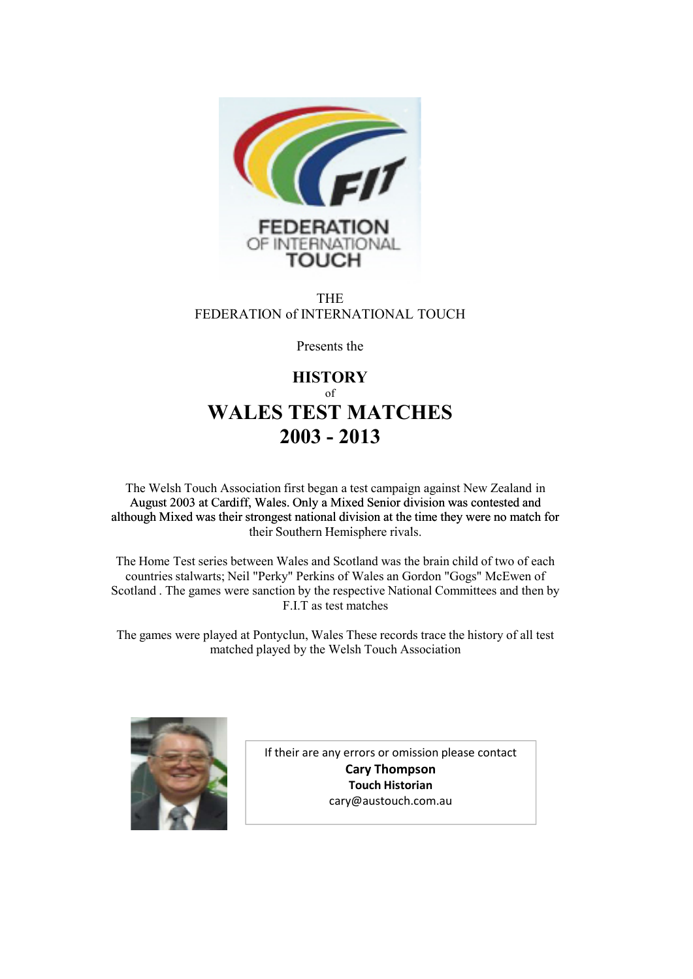

THE FEDERATION of INTERNATIONAL TOUCH

Presents the

# **HISTORY** of **WALES TEST MATCHES 2003 - 2013**

The Welsh Touch Association first began a test campaign against New Zealand in August 2003 at Cardiff, Wales. Only a Mixed Senior division was contested and although Mixed was their strongest national division at the time they were no match for their Southern Hemisphere rivals.

The Home Test series between Wales and Scotland was the brain child of two of each countries stalwarts; Neil "Perky" Perkins of Wales an Gordon "Gogs" McEwen of Scotland . The games were sanction by the respective National Committees and then by F.I.T as test matches

The games were played at Pontyclun, Wales These records trace the history of all test matched played by the Welsh Touch Association



If their are any errors or omission please contact **Cary Thompson Touch Historian** cary@austouch.com.au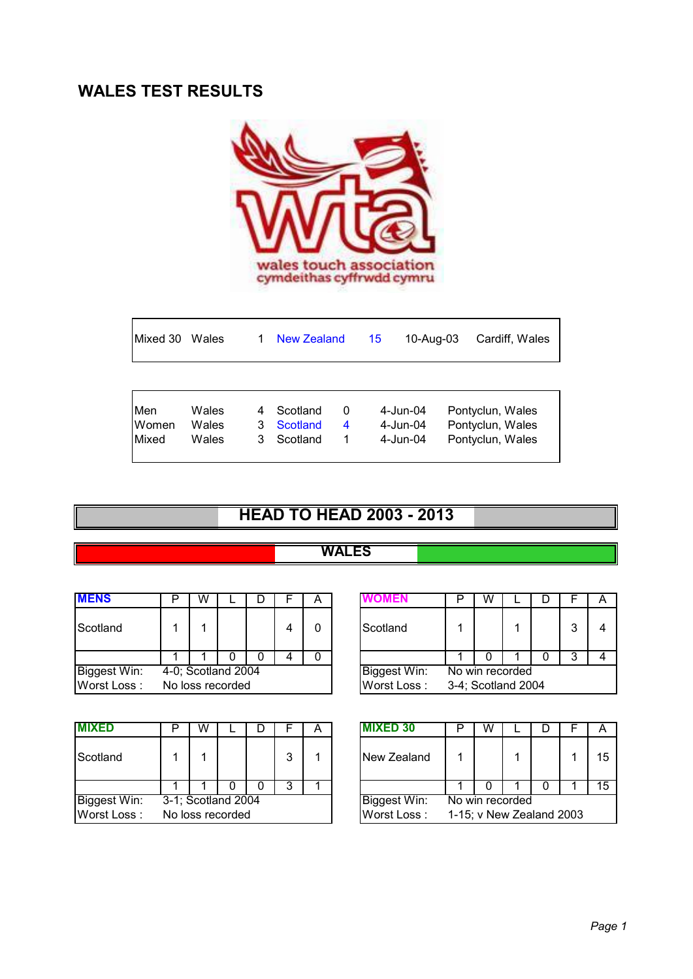# **WALES TEST RESULTS**



|                                                                                                                                                             | Cardiff, Wales | 10-Aug-03                                                |
|-------------------------------------------------------------------------------------------------------------------------------------------------------------|----------------|----------------------------------------------------------|
|                                                                                                                                                             |                |                                                          |
| Men<br>Wales<br>Scotland<br>4-Jun-04<br>0<br>4<br>Women<br><b>Scotland</b><br>Wales<br>4-Jun-04<br>3<br>4<br>Mixed<br>Scotland<br>$4$ -Jun-04<br>Wales<br>3 |                | Pontyclun, Wales<br>Pontyclun, Wales<br>Pontyclun, Wales |

# **HEAD TO HEAD 2003 - 2013**

#### **WALES**

| <b>MENS</b>         | W |                    |  | А |                     | W                  |  |   |   |
|---------------------|---|--------------------|--|---|---------------------|--------------------|--|---|---|
| Scotland            |   |                    |  | 0 | Scotland            |                    |  | 3 | 4 |
|                     |   |                    |  |   |                     |                    |  |   |   |
| <b>Biggest Win:</b> |   | 4-0; Scotland 2004 |  |   | <b>Biggest Win:</b> | No win recorded    |  |   |   |
| Worst Loss:         |   | No loss recorded   |  |   | Worst Loss:         | 3-4; Scotland 2004 |  |   |   |

| <b>MIXED</b>        | w |                    |   | А | <b>MIXED 30</b> | W                        |  | A  |
|---------------------|---|--------------------|---|---|-----------------|--------------------------|--|----|
| Scotland            |   |                    | 3 |   | New Zealand     |                          |  | 15 |
|                     |   |                    |   |   |                 |                          |  | 15 |
| <b>Biggest Win:</b> |   | 3-1; Scotland 2004 |   |   | Biggest Win:    | No win recorded          |  |    |
| Worst Loss:         |   | No loss recorded   |   |   | Worst Loss:     | 1-15; v New Zealand 2003 |  |    |

| W |                  |  | 宀 |              |                    | W               |  |  |   |  |
|---|------------------|--|---|--------------|--------------------|-----------------|--|--|---|--|
|   |                  |  |   | Scotland     |                    |                 |  |  | 3 |  |
|   |                  |  |   |              |                    |                 |  |  |   |  |
|   | 0; Scotland 2004 |  |   | Biggest Win: |                    | No win recorded |  |  |   |  |
|   | o loss recorded  |  |   | Worst Loss:  | 3-4; Scotland 2004 |                 |  |  |   |  |

|                                     | W |  |  |   |  |  | <b>MIXED 30</b>                      |                 |  |  |    |
|-------------------------------------|---|--|--|---|--|--|--------------------------------------|-----------------|--|--|----|
|                                     |   |  |  | 3 |  |  | New Zealand                          |                 |  |  | 15 |
|                                     |   |  |  |   |  |  |                                      |                 |  |  |    |
|                                     |   |  |  |   |  |  | <b>Biggest Win:</b>                  | No win recorded |  |  |    |
| 1; Scotland 2004<br>o loss recorded |   |  |  |   |  |  | Worst Loss: 1-15; v New Zealand 2003 |                 |  |  |    |